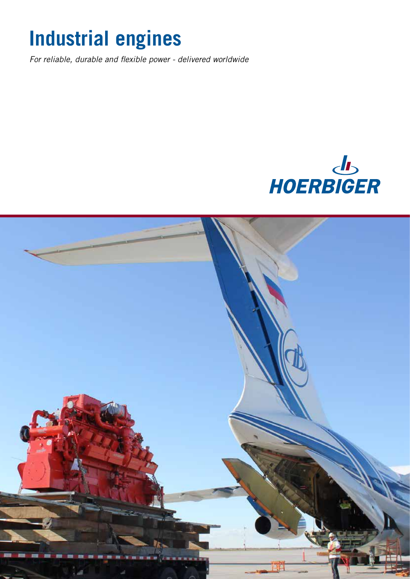# **Industrial engines**

*For reliable, durable and flexible power - delivered worldwide*



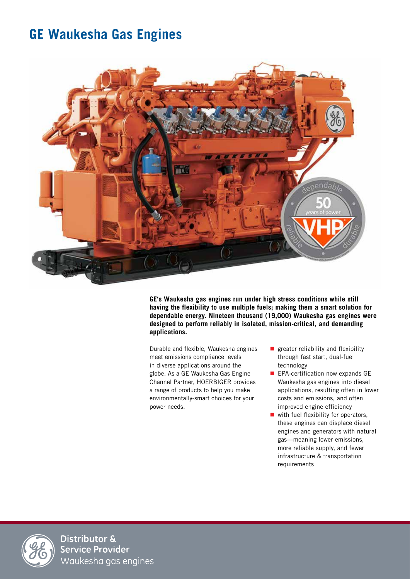### **GE Waukesha Gas Engines**



**GE's Waukesha gas engines run under high stress conditions while still having the flexibility to use multiple fuels; making them a smart solution for dependable energy. Nineteen thousand (19,000) Waukesha gas engines were designed to perform reliably in isolated, mission-critical, and demanding applications.**

Durable and flexible, Waukesha engines meet emissions compliance levels in diverse applications around the globe. As a GE Waukesha Gas Engine Channel Partner, HOERBIGER provides a range of products to help you make environmentally-smart choices for your power needs.

- **greater reliability and flexibility** through fast start, dual-fuel technology
- **EPA-certification now expands GE** Waukesha gas engines into diesel applications, resulting often in lower costs and emissions, and often improved engine efficiency
- $\blacksquare$  with fuel flexibility for operators, these engines can displace diesel engines and generators with natural gas—meaning lower emissions, more reliable supply, and fewer infrastructure & transportation requirements



Distributor & Service Provider Waukesha gas engines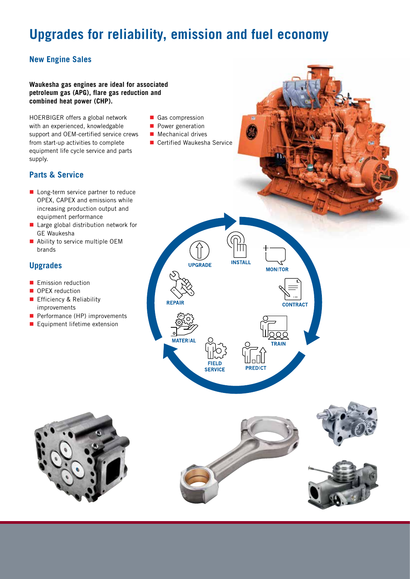## **Upgrades for reliability, emission and fuel economy**

#### **New Engine Sales**

#### **Waukesha gas engines are ideal for associated petroleum gas (APG), flare gas reduction and combined heat power (CHP).**

HOERBIGER offers a global network with an experienced, knowledgable support and OEM-certified service crews from start-up activities to complete equipment life cycle service and parts supply.

- 
- 

#### **Parts & Service**

- Long-term service partner to reduce OPEX, CAPEX and emissions while increasing production output and equipment performance
- **Large global distribution network for** GE Waukesha
- Ability to service multiple OEM brands

#### **Upgrades**

- **Emission reduction**
- OPEX reduction
- **Efficiency & Reliability** improvements
- Performance (HP) improvements
- **Equipment lifetime extension**